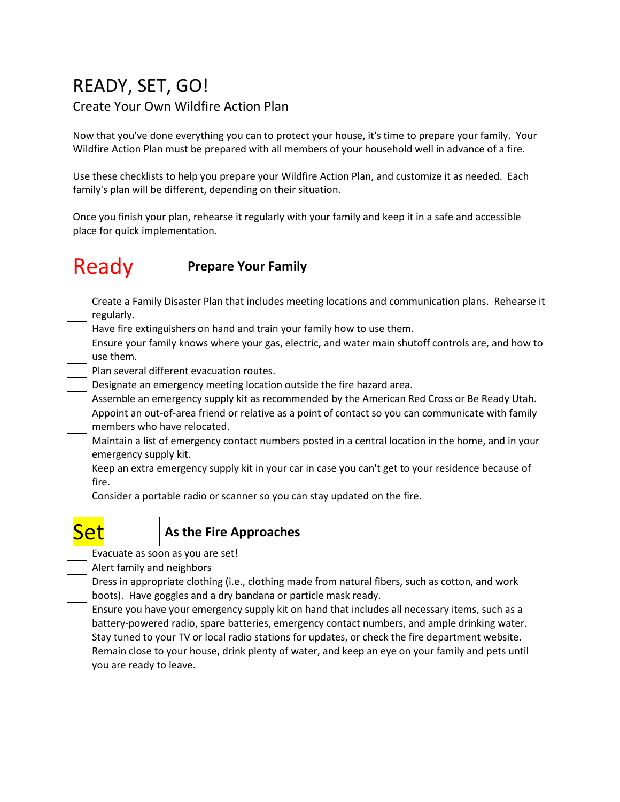## READY, SET, GO! Create Your Own Wildfire Action Plan

Now that you've done everything you can to protect your house, it's time to prepare your family. Your Wildfire Action Plan must be prepared with all members of your household well in advance of a fire.

Use these checklists to help you prepare your Wildfire Action Plan, and customize it as needed. Each family's plan will be different, depending on their situation.

Once you finish your plan, rehearse it regularly with your family and keep it in a safe and accessible place for quick implementation.

# Ready **Prepare Your Family**

- Create a Family Disaster Plan that includes meeting locations and communication plans. Rehearse it regularly.
- Have fire extinguishers on hand and train your family how to use them.
- Ensure your family knows where your gas, electric, and water main shutoff controls are, and how to use them.
- Plan several different evacuation routes.
- Designate an emergency meeting location outside the fire hazard area.
- Assemble an emergency supply kit as recommended by the American Red Cross or Be Ready Utah. Appoint an out-of-area friend or relative as a point of contact so you can communicate with family members who have relocated.
- Maintain a list of emergency contact numbers posted in a central location in the home, and in your emergency supply kit.
- Keep an extra emergency supply kit in your car in case you can't get to your residence because of fire.
	- Consider a portable radio or scanner so you can stay updated on the fire.

## **As the Fire Approaches**

- Evacuate as soon as you are set!
- Alert family and neighbors
- Dress in appropriate clothing (i.e., clothing made from natural fibers, such as cotton, and work boots). Have goggles and a dry bandana or particle mask ready.
- Ensure you have your emergency supply kit on hand that includes all necessary items, such as a battery-powered radio, spare batteries, emergency contact numbers, and ample drinking water.
- Stay tuned to your TV or local radio stations for updates, or check the fire department website. Remain close to your house, drink plenty of water, and keep an eye on your family and pets until you are ready to leave.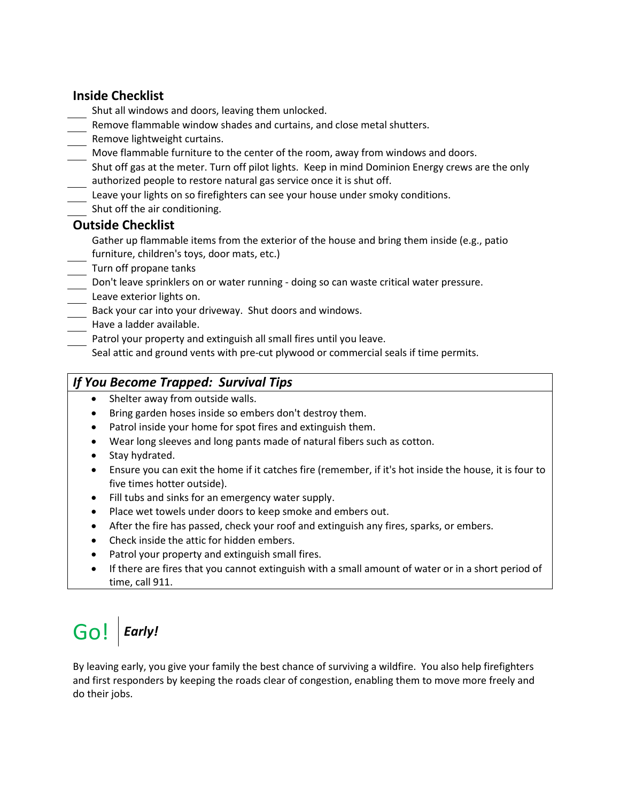### **Inside Checklist**

- Shut all windows and doors, leaving them unlocked.
- Remove flammable window shades and curtains, and close metal shutters.
- Remove lightweight curtains.
- Move flammable furniture to the center of the room, away from windows and doors.
- Shut off gas at the meter. Turn off pilot lights. Keep in mind Dominion Energy crews are the only authorized people to restore natural gas service once it is shut off.
- Leave your lights on so firefighters can see your house under smoky conditions.
- Shut off the air conditioning.

### **Outside Checklist**

- Gather up flammable items from the exterior of the house and bring them inside (e.g., patio furniture, children's toys, door mats, etc.)
- Turn off propane tanks
- Don't leave sprinklers on or water running doing so can waste critical water pressure.
- Leave exterior lights on.
- Back your car into your driveway. Shut doors and windows.
- Have a ladder available.
- Patrol your property and extinguish all small fires until you leave.

Seal attic and ground vents with pre-cut plywood or commercial seals if time permits.

### *If You Become Trapped: Survival Tips*

- Shelter away from outside walls.
- Bring garden hoses inside so embers don't destroy them.
- Patrol inside your home for spot fires and extinguish them.
- Wear long sleeves and long pants made of natural fibers such as cotton.
- Stay hydrated.
- Ensure you can exit the home if it catches fire (remember, if it's hot inside the house, it is four to five times hotter outside).
- Fill tubs and sinks for an emergency water supply.
- Place wet towels under doors to keep smoke and embers out.
- After the fire has passed, check your roof and extinguish any fires, sparks, or embers.
- Check inside the attic for hidden embers.
- Patrol your property and extinguish small fires.
- If there are fires that you cannot extinguish with a small amount of water or in a short period of time, call 911.

# Go! *Early!*

By leaving early, you give your family the best chance of surviving a wildfire. You also help firefighters and first responders by keeping the roads clear of congestion, enabling them to move more freely and do their jobs.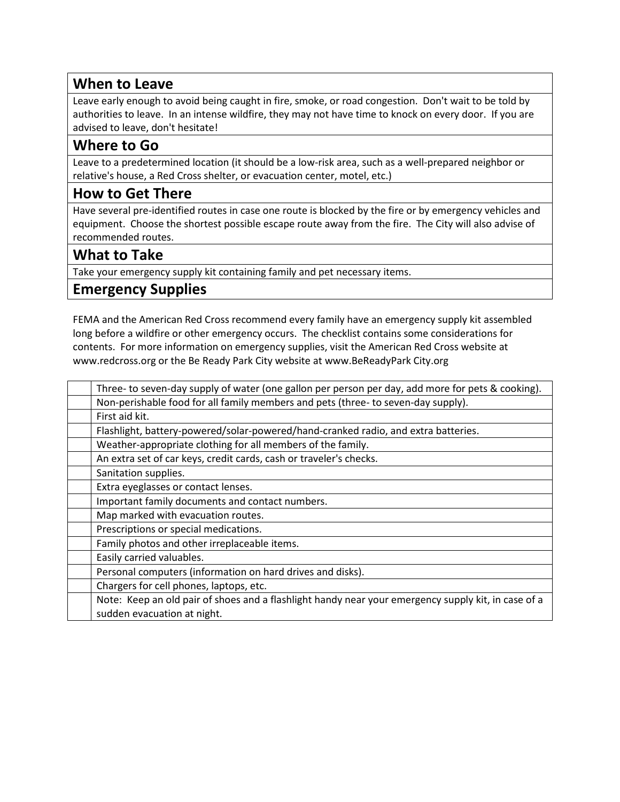### **When to Leave**

Leave early enough to avoid being caught in fire, smoke, or road congestion. Don't wait to be told by authorities to leave. In an intense wildfire, they may not have time to knock on every door. If you are advised to leave, don't hesitate!

### **Where to Go**

Leave to a predetermined location (it should be a low-risk area, such as a well-prepared neighbor or relative's house, a Red Cross shelter, or evacuation center, motel, etc.)

### **How to Get There**

Have several pre-identified routes in case one route is blocked by the fire or by emergency vehicles and equipment. Choose the shortest possible escape route away from the fire. The City will also advise of recommended routes.

### **What to Take**

Take your emergency supply kit containing family and pet necessary items.

### **Emergency Supplies**

FEMA and the American Red Cross recommend every family have an emergency supply kit assembled long before a wildfire or other emergency occurs. The checklist contains some considerations for contents. For more information on emergency supplies, visit the American Red Cross website at www.redcross.org or the Be Ready Park City website at www.BeReadyPark City.org

| Three- to seven-day supply of water (one gallon per person per day, add more for pets & cooking).   |
|-----------------------------------------------------------------------------------------------------|
| Non-perishable food for all family members and pets (three- to seven-day supply).                   |
| First aid kit.                                                                                      |
| Flashlight, battery-powered/solar-powered/hand-cranked radio, and extra batteries.                  |
| Weather-appropriate clothing for all members of the family.                                         |
| An extra set of car keys, credit cards, cash or traveler's checks.                                  |
| Sanitation supplies.                                                                                |
| Extra eyeglasses or contact lenses.                                                                 |
| Important family documents and contact numbers.                                                     |
| Map marked with evacuation routes.                                                                  |
| Prescriptions or special medications.                                                               |
| Family photos and other irreplaceable items.                                                        |
| Easily carried valuables.                                                                           |
| Personal computers (information on hard drives and disks).                                          |
| Chargers for cell phones, laptops, etc.                                                             |
| Note: Keep an old pair of shoes and a flashlight handy near your emergency supply kit, in case of a |
| sudden evacuation at night.                                                                         |